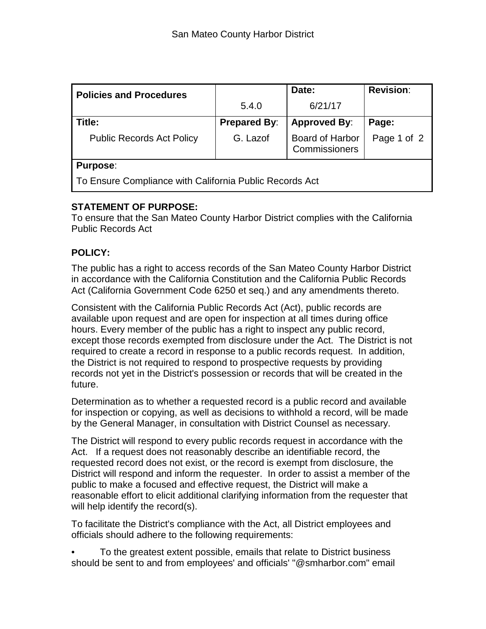| <b>Policies and Procedures</b>                          |                     | Date:                            | <b>Revision:</b> |  |
|---------------------------------------------------------|---------------------|----------------------------------|------------------|--|
|                                                         | 5.4.0               | 6/21/17                          |                  |  |
| Title:                                                  | <b>Prepared By:</b> | <b>Approved By:</b>              | Page:            |  |
| <b>Public Records Act Policy</b>                        | G. Lazof            | Board of Harbor<br>Commissioners | Page 1 of 2      |  |
| <b>Purpose:</b>                                         |                     |                                  |                  |  |
| To Ensure Compliance with California Public Records Act |                     |                                  |                  |  |

## **STATEMENT OF PURPOSE:**

To ensure that the San Mateo County Harbor District complies with the California Public Records Act

## **POLICY:**

The public has a right to access records of the San Mateo County Harbor District in accordance with the California Constitution and the California Public Records Act (California Government Code 6250 et seq.) and any amendments thereto.

Consistent with the California Public Records Act (Act), public records are available upon request and are open for inspection at all times during office hours. Every member of the public has a right to inspect any public record, except those records exempted from disclosure under the Act. The District is not required to create a record in response to a public records request. In addition, the District is not required to respond to prospective requests by providing records not yet in the District's possession or records that will be created in the future.

Determination as to whether a requested record is a public record and available for inspection or copying, as well as decisions to withhold a record, will be made by the General Manager, in consultation with District Counsel as necessary.

The District will respond to every public records request in accordance with the Act. If a request does not reasonably describe an identifiable record, the requested record does not exist, or the record is exempt from disclosure, the District will respond and inform the requester. In order to assist a member of the public to make a focused and effective request, the District will make a reasonable effort to elicit additional clarifying information from the requester that will help identify the record(s).

To facilitate the District's compliance with the Act, all District employees and officials should adhere to the following requirements:

• To the greatest extent possible, emails that relate to District business should be sent to and from employees' and officials' "@smharbor.com" email